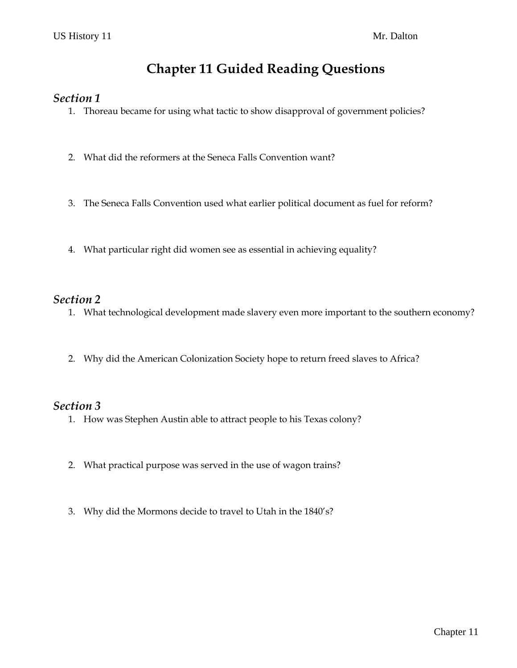# **Chapter 11 Guided Reading Questions**

#### *Section 1*

- 1. Thoreau became for using what tactic to show disapproval of government policies?
- 2. What did the reformers at the Seneca Falls Convention want?
- 3. The Seneca Falls Convention used what earlier political document as fuel for reform?
- 4. What particular right did women see as essential in achieving equality?

### *Section 2*

- 1. What technological development made slavery even more important to the southern economy?
- 2. Why did the American Colonization Society hope to return freed slaves to Africa?

#### *Section 3*

- 1. How was Stephen Austin able to attract people to his Texas colony?
- 2. What practical purpose was served in the use of wagon trains?
- 3. Why did the Mormons decide to travel to Utah in the 1840's?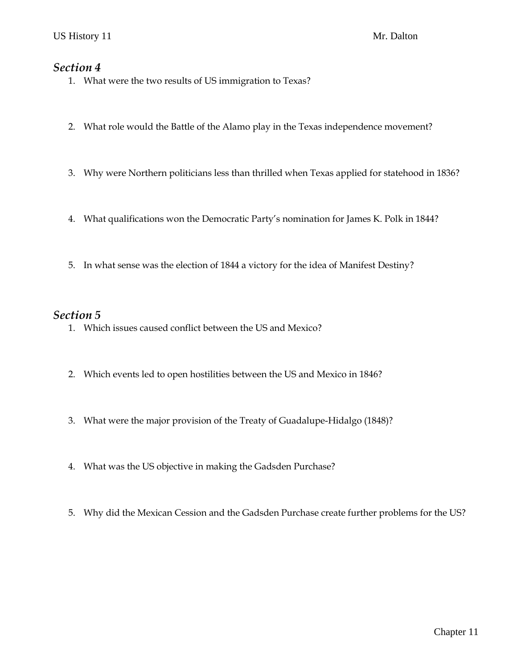### *Section 4*

- 1. What were the two results of US immigration to Texas?
- 2. What role would the Battle of the Alamo play in the Texas independence movement?
- 3. Why were Northern politicians less than thrilled when Texas applied for statehood in 1836?
- 4. What qualifications won the Democratic Party's nomination for James K. Polk in 1844?
- 5. In what sense was the election of 1844 a victory for the idea of Manifest Destiny?

### *Section 5*

- 1. Which issues caused conflict between the US and Mexico?
- 2. Which events led to open hostilities between the US and Mexico in 1846?
- 3. What were the major provision of the Treaty of Guadalupe-Hidalgo (1848)?
- 4. What was the US objective in making the Gadsden Purchase?
- 5. Why did the Mexican Cession and the Gadsden Purchase create further problems for the US?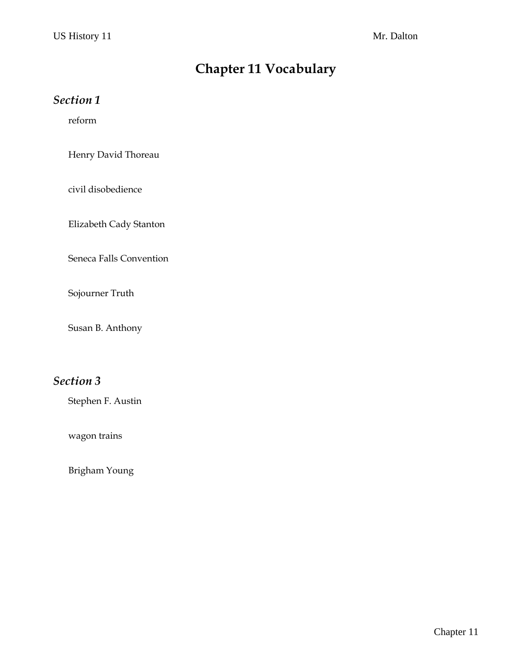# **Chapter 11 Vocabulary**

## *Section 1*

reform

Henry David Thoreau

civil disobedience

Elizabeth Cady Stanton

Seneca Falls Convention

Sojourner Truth

Susan B. Anthony

## *Section 3*

Stephen F. Austin

wagon trains

Brigham Young